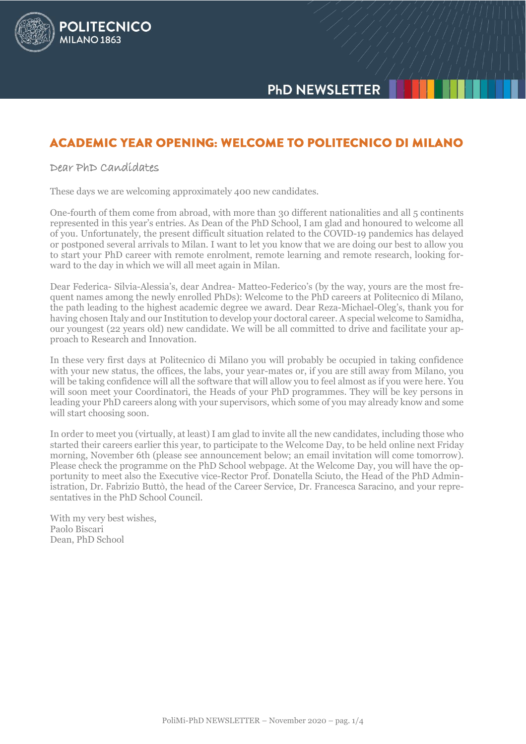

# **ACADEMIC YEAR OPENING: WELCOME TO POLITECNICO DI MILANO**

## Dear PhD Candidates

**POLITECNICO** 

MILANO<sub>1863</sub>

These days we are welcoming approximately 400 new candidates.

One-fourth of them come from abroad, with more than 30 different nationalities and all 5 continents represented in this year's entries. As Dean of the PhD School, I am glad and honoured to welcome all of you. Unfortunately, the present difficult situation related to the COVID-19 pandemics has delayed or postponed several arrivals to Milan. I want to let you know that we are doing our best to allow you to start your PhD career with remote enrolment, remote learning and remote research, looking forward to the day in which we will all meet again in Milan.

Dear Federica- Silvia-Alessia's, dear Andrea- Matteo-Federico's (by the way, yours are the most frequent names among the newly enrolled PhDs): Welcome to the PhD careers at Politecnico di Milano, the path leading to the highest academic degree we award. Dear Reza-Michael-Oleg's, thank you for having chosen Italy and our Institution to develop your doctoral career. A special welcome to Samidha, our youngest (22 years old) new candidate. We will be all committed to drive and facilitate your approach to Research and Innovation.

In these very first days at Politecnico di Milano you will probably be occupied in taking confidence with your new status, the offices, the labs, your year-mates or, if you are still away from Milano, you will be taking confidence will all the software that will allow you to feel almost as if you were here. You will soon meet your Coordinatori, the Heads of your PhD programmes. They will be key persons in leading your PhD careers along with your supervisors, which some of you may already know and some will start choosing soon.

In order to meet you (virtually, at least) I am glad to invite all the new candidates, including those who started their careers earlier this year, to participate to the Welcome Day, to be held online next Friday morning, November 6th (please see announcement below; an email invitation will come tomorrow). Please check the programme on the PhD School webpage. At the Welcome Day, you will have the opportunity to meet also the Executive vice-Rector Prof. Donatella Sciuto, the Head of the PhD Administration, Dr. Fabrizio Buttò, the head of the Career Service, Dr. Francesca Saracino, and your representatives in the PhD School Council.

With my very best wishes, Paolo Biscari Dean, PhD School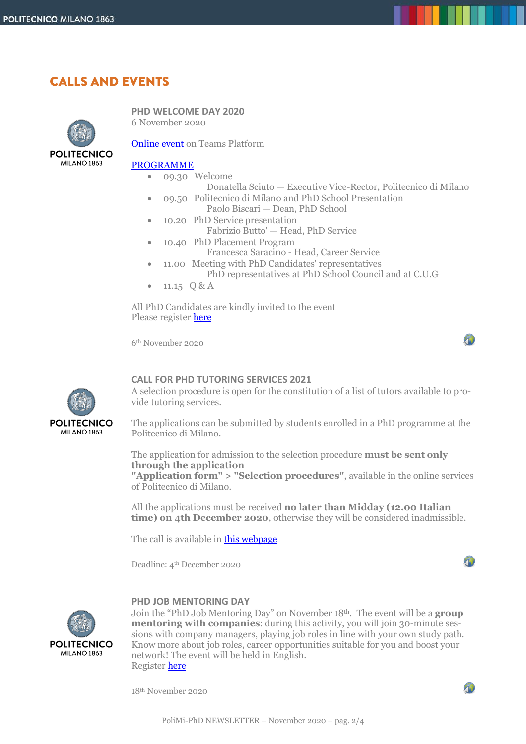## **CALLS AND EVENTS**



**PHD WELCOME DAY 2020** 6 November 2020

[Online event](http://tiny.cc/PhDWelcomeDay) on Teams Platform

### [PROGRAMME](http://www.dottorato.polimi.it/uploads/media/PhD_Welcome_2020.pdf)

- 09.30 Welcome
	- Donatella Sciuto Executive Vice-Rector, Politecnico di Milano
- 09.50 Politecnico di Milano and PhD School Presentation Paolo Biscari — Dean, PhD School
- 10.20 PhD Service presentation
- Fabrizio Butto' Head, PhD Service
- 10.40 PhD Placement Program
- Francesca Saracino Head, Career Service 11.00 Meeting with PhD Candidates' representatives
- PhD representatives at PhD School Council and at C.U.G
- $\bullet$  11.15 Q & A

All PhD Candidates are kindly invited to the event Please registe[r here](https://tinyurl.com/y263oloo)

6th November 2020



### **CALL FOR PHD TUTORING SERVICES 2021**

A selection procedure is open for the constitution of a list of tutors available to provide tutoring services.

The applications can be submitted by students enrolled in a PhD programme at the Politecnico di Milano.

The application for admission to the selection procedure **must be sent only through the application**

**"Application form" > "Selection procedures"**, available in the online services of Politecnico di Milano.

All the applications must be received **no later than Midday (12.00 Italian time) on 4th December 2020**, otherwise they will be considered inadmissible.

The call is available in **this webpage** 

Deadline: 4th December 2020



90

40

### **PHD JOB MENTORING DAY**



Join the "PhD Job Mentoring Day" on November 18th. The event will be a **group mentoring with companies**: during this activity, you will join 30-minute sessions with company managers, playing job roles in line with your own study path. Know more about job roles, career opportunities suitable for you and boost your network! The event will be held in English. Register [here](https://www.careerservice.polimi.it/en-US/Meetings/Home/Index/?eventId=21925)

18th November 2020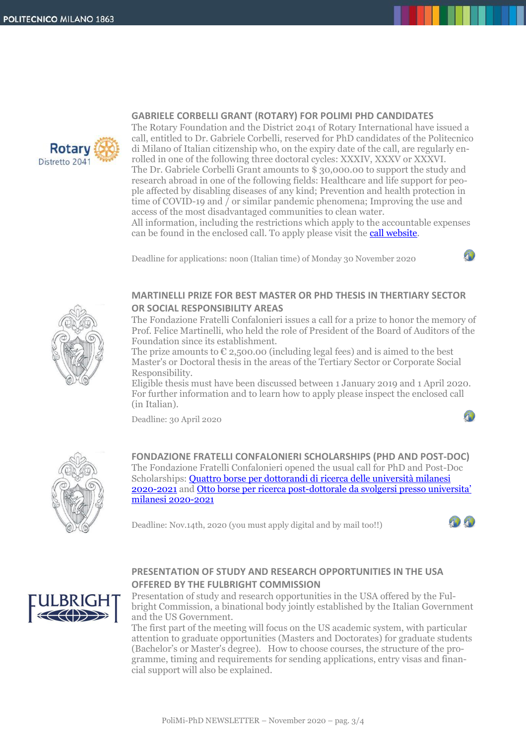

### **GABRIELE CORBELLI GRANT (ROTARY) FOR POLIMI PHD CANDIDATES**

The Rotary Foundation and the District 2041 of Rotary International have issued a call, entitled to Dr. Gabriele Corbelli, reserved for PhD candidates of the Politecnico di Milano of Italian citizenship who, on the expiry date of the call, are regularly enrolled in one of the following three doctoral cycles: XXXIV, XXXV or XXXVI. The Dr. Gabriele Corbelli Grant amounts to \$ 30,000.00 to support the study and research abroad in one of the following fields: Healthcare and life support for people affected by disabling diseases of any kind; Prevention and health protection in time of COVID-19 and / or similar pandemic phenomena; Improving the use and access of the most disadvantaged communities to clean water.

All information, including the restrictions which apply to the accountable expenses can be found in the enclosed call. To apply please visit the [call website.](https://480ch.r.a.d.sendibm1.com/mk/mr/igrJsJ7ifEzjHQPSlJuhmhSltcAzHxWGBLz0_fEhYLp5FxwDVUqGPpfCTkT2DAV-isVOD-frA27sWhMYuX-W4Bp68nq1DpsPr1S3MhjsNA)

Deadline for applications: noon (Italian time) of Monday 30 November 2020



## **MARTINELLI PRIZE FOR BEST MASTER OR PHD THESIS IN THERTIARY SECTOR OR SOCIAL RESPONSIBILITY AREAS**

The Fondazione Fratelli Confalonieri issues a call for a prize to honor the memory of Prof. Felice Martinelli, who held the role of President of the Board of Auditors of the Foundation since its establishment.

The prize amounts to  $\epsilon$  2,500.00 (including legal fees) and is aimed to the best Master's or Doctoral thesis in the areas of the Tertiary Sector or Corporate Social Responsibility.

Eligible thesis must have been discussed between 1 January 2019 and 1 April 2020. For further information and to learn how to apply please inspect the enclosed call (in Italian).

Deadline: 30 April 2020



**FONDAZIONE FRATELLI CONFALONIERI SCHOLARSHIPS (PHD AND POST-DOC)** The Fondazione Fratelli Confalonieri opened the usual call for PhD and Post-Doc Scholarships: [Quattro borse per dottorandi di ricerca delle università milanesi](http://www.dottorato.polimi.it/fileadmin/files/dottorato/newsletter/allegati/2020_10/BandoConfalonieri_2020-2021.pdf) [2020-2021](http://www.dottorato.polimi.it/fileadmin/files/dottorato/newsletter/allegati/2020_10/BandoConfalonieri_2020-2021.pdf) and Otto borse per ricerca post-[dottorale da svolgersi presso universita'](http://www.dottorato.polimi.it/fileadmin/files/dottorato/newsletter/allegati/2020_10/Bando_Post-Doc_2020-2021.pdf)  [milanesi 2020-2021](http://www.dottorato.polimi.it/fileadmin/files/dottorato/newsletter/allegati/2020_10/Bando_Post-Doc_2020-2021.pdf)

Deadline: Nov.14th, 2020 (you must apply digital and by mail too!!)





## **PRESENTATION OF STUDY AND RESEARCH OPPORTUNITIES IN THE USA OFFERED BY THE FULBRIGHT COMMISSION**

Presentation of study and research opportunities in the USA offered by the Fulbright Commission, a binational body jointly established by the Italian Government and the US Government.

The first part of the meeting will focus on the US academic system, with particular attention to graduate opportunities (Masters and Doctorates) for graduate students (Bachelor's or Master's degree). How to choose courses, the structure of the programme, timing and requirements for sending applications, entry visas and financial support will also be explained.